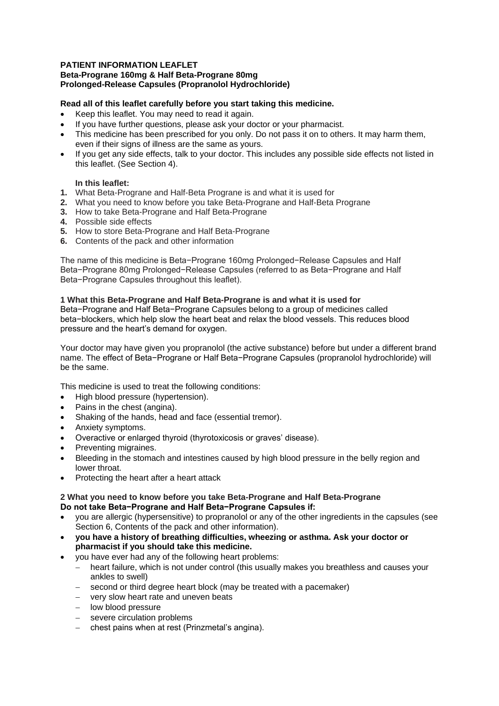### **PATIENT INFORMATION LEAFLET Beta-Prograne 160mg & Half Beta-Prograne 80mg Prolonged-Release Capsules (Propranolol Hydrochloride)**

## **Read all of this leaflet carefully before you start taking this medicine.**

- Keep this leaflet. You may need to read it again.
- If you have further questions, please ask your doctor or your pharmacist.
- This medicine has been prescribed for you only. Do not pass it on to others. It may harm them, even if their signs of illness are the same as yours.
- If you get any side effects, talk to your doctor. This includes any possible side effects not listed in this leaflet. (See Section 4).

## **In this leaflet:**

- **1.** What Beta-Prograne and Half-Beta Prograne is and what it is used for
- **2.** What you need to know before you take Beta-Prograne and Half-Beta Prograne
- **3.** How to take Beta-Prograne and Half Beta-Prograne
- **4.** Possible side effects
- **5.** How to store Beta-Prograne and Half Beta-Prograne
- **6.** Contents of the pack and other information

The name of this medicine is Beta−Prograne 160mg Prolonged−Release Capsules and Half Beta−Prograne 80mg Prolonged−Release Capsules (referred to as Beta−Prograne and Half Beta−Prograne Capsules throughout this leaflet).

### **1 What this Beta-Prograne and Half Beta-Prograne is and what it is used for**

Beta−Prograne and Half Beta−Prograne Capsules belong to a group of medicines called beta−blockers, which help slow the heart beat and relax the blood vessels. This reduces blood pressure and the heart's demand for oxygen.

Your doctor may have given you propranolol (the active substance) before but under a different brand name. The effect of Beta−Prograne or Half Beta−Prograne Capsules (propranolol hydrochloride) will be the same.

This medicine is used to treat the following conditions:

- High blood pressure (hypertension).
- Pains in the chest (angina).
- Shaking of the hands, head and face (essential tremor).
- Anxiety symptoms.
- Overactive or enlarged thyroid (thyrotoxicosis or graves' disease).
- Preventing migraines.
- Bleeding in the stomach and intestines caused by high blood pressure in the belly region and lower throat.
- Protecting the heart after a heart attack

### **2 What you need to know before you take Beta-Prograne and Half Beta-Prograne Do not take Beta−Prograne and Half Beta−Prograne Capsules if:**

- you are allergic (hypersensitive) to propranolol or any of the other ingredients in the capsules (see Section 6, Contents of the pack and other information).
- **you have a history of breathing difficulties, wheezing or asthma. Ask your doctor or pharmacist if you should take this medicine.**
- you have ever had any of the following heart problems:
	- heart failure, which is not under control (this usually makes you breathless and causes your ankles to swell)
	- second or third degree heart block (may be treated with a pacemaker)
	- very slow heart rate and uneven beats
	- low blood pressure
	- severe circulation problems
	- chest pains when at rest (Prinzmetal's angina).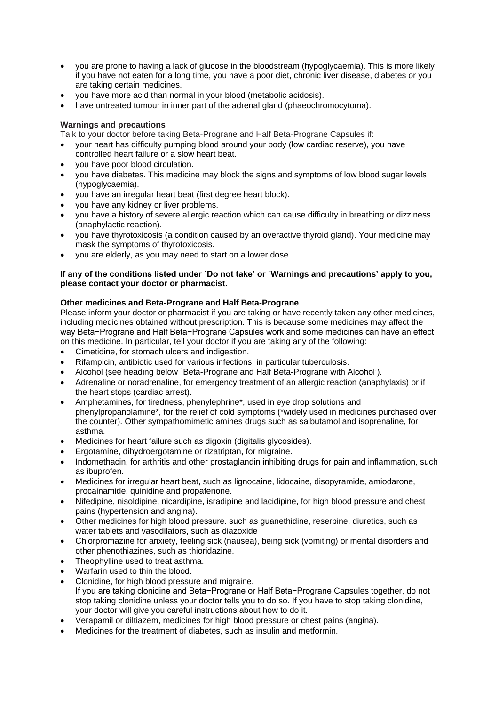- you are prone to having a lack of glucose in the bloodstream (hypoglycaemia). This is more likely if you have not eaten for a long time, you have a poor diet, chronic liver disease, diabetes or you are taking certain medicines.
- you have more acid than normal in your blood (metabolic acidosis).
- have untreated tumour in inner part of the adrenal gland (phaeochromocytoma).

## **Warnings and precautions**

Talk to your doctor before taking Beta-Prograne and Half Beta-Prograne Capsules if:

- your heart has difficulty pumping blood around your body (low cardiac reserve), you have controlled heart failure or a slow heart beat.
- you have poor blood circulation.
- you have diabetes. This medicine may block the signs and symptoms of low blood sugar levels (hypoglycaemia).
- you have an irregular heart beat (first degree heart block).
- you have any kidney or liver problems.
- you have a history of severe allergic reaction which can cause difficulty in breathing or dizziness (anaphylactic reaction).
- you have thyrotoxicosis (a condition caused by an overactive thyroid gland). Your medicine may mask the symptoms of thyrotoxicosis.
- you are elderly, as you may need to start on a lower dose.

## **If any of the conditions listed under `Do not take' or `Warnings and precautions' apply to you, please contact your doctor or pharmacist.**

# **Other medicines and Beta-Prograne and Half Beta-Prograne**

Please inform your doctor or pharmacist if you are taking or have recently taken any other medicines, including medicines obtained without prescription. This is because some medicines may affect the way Beta−Prograne and Half Beta−Prograne Capsules work and some medicines can have an effect on this medicine. In particular, tell your doctor if you are taking any of the following:

- Cimetidine, for stomach ulcers and indigestion.
- Rifampicin, antibiotic used for various infections, in particular tuberculosis.
- Alcohol (see heading below `Beta-Prograne and Half Beta-Prograne with Alcohol').
- Adrenaline or noradrenaline, for emergency treatment of an allergic reaction (anaphylaxis) or if the heart stops (cardiac arrest).
- Amphetamines, for tiredness, phenylephrine\*, used in eye drop solutions and phenylpropanolamine\*, for the relief of cold symptoms (\*widely used in medicines purchased over the counter). Other sympathomimetic amines drugs such as salbutamol and isoprenaline, for asthma.
- Medicines for heart failure such as digoxin (digitalis glycosides).
- Ergotamine, dihydroergotamine or rizatriptan, for migraine.
- Indomethacin, for arthritis and other prostaglandin inhibiting drugs for pain and inflammation, such as ibuprofen.
- Medicines for irregular heart beat, such as lignocaine, lidocaine, disopyramide, amiodarone, procainamide, quinidine and propafenone.
- Nifedipine, nisoldipine, nicardipine, isradipine and lacidipine, for high blood pressure and chest pains (hypertension and angina).
- Other medicines for high blood pressure. such as guanethidine, reserpine, diuretics, such as water tablets and vasodilators, such as diazoxide
- Chlorpromazine for anxiety, feeling sick (nausea), being sick (vomiting) or mental disorders and other phenothiazines, such as thioridazine.
- Theophylline used to treat asthma.
- Warfarin used to thin the blood.
- Clonidine, for high blood pressure and migraine. If you are taking clonidine and Beta−Prograne or Half Beta−Prograne Capsules together, do not stop taking clonidine unless your doctor tells you to do so. If you have to stop taking clonidine, your doctor will give you careful instructions about how to do it.
- Verapamil or diltiazem, medicines for high blood pressure or chest pains (angina).
- Medicines for the treatment of diabetes, such as insulin and metformin.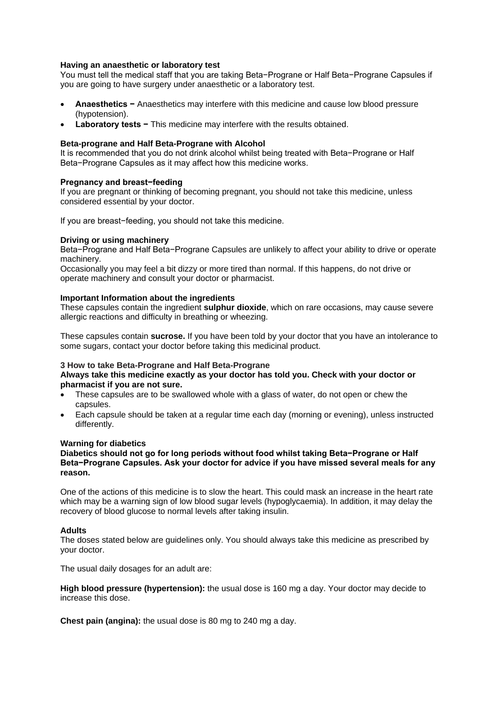### **Having an anaesthetic or laboratory test**

You must tell the medical staff that you are taking Beta−Prograne or Half Beta−Prograne Capsules if you are going to have surgery under anaesthetic or a laboratory test.

- **Anaesthetics −** Anaesthetics may interfere with this medicine and cause low blood pressure (hypotension).
- **Laboratory tests −** This medicine may interfere with the results obtained.

### **Beta-prograne and Half Beta-Prograne with Alcohol**

It is recommended that you do not drink alcohol whilst being treated with Beta−Prograne or Half Beta−Prograne Capsules as it may affect how this medicine works.

### **Pregnancy and breast−feeding**

If you are pregnant or thinking of becoming pregnant, you should not take this medicine, unless considered essential by your doctor.

If you are breast−feeding, you should not take this medicine.

### **Driving or using machinery**

Beta−Prograne and Half Beta−Prograne Capsules are unlikely to affect your ability to drive or operate machinery.

Occasionally you may feel a bit dizzy or more tired than normal. If this happens, do not drive or operate machinery and consult your doctor or pharmacist.

### **Important Information about the ingredients**

These capsules contain the ingredient **sulphur dioxide**, which on rare occasions, may cause severe allergic reactions and difficulty in breathing or wheezing.

These capsules contain **sucrose.** If you have been told by your doctor that you have an intolerance to some sugars, contact your doctor before taking this medicinal product.

#### **3 How to take Beta-Prograne and Half Beta-Prograne Always take this medicine exactly as your doctor has told you. Check with your doctor or pharmacist if you are not sure.**

- These capsules are to be swallowed whole with a glass of water, do not open or chew the capsules.
- Each capsule should be taken at a regular time each day (morning or evening), unless instructed differently.

### **Warning for diabetics**

### **Diabetics should not go for long periods without food whilst taking Beta−Prograne or Half Beta−Prograne Capsules. Ask your doctor for advice if you have missed several meals for any reason.**

One of the actions of this medicine is to slow the heart. This could mask an increase in the heart rate which may be a warning sign of low blood sugar levels (hypoglycaemia). In addition, it may delay the recovery of blood glucose to normal levels after taking insulin.

### **Adults**

The doses stated below are guidelines only. You should always take this medicine as prescribed by your doctor.

The usual daily dosages for an adult are:

**High blood pressure (hypertension):** the usual dose is 160 mg a day. Your doctor may decide to increase this dose.

**Chest pain (angina):** the usual dose is 80 mg to 240 mg a day.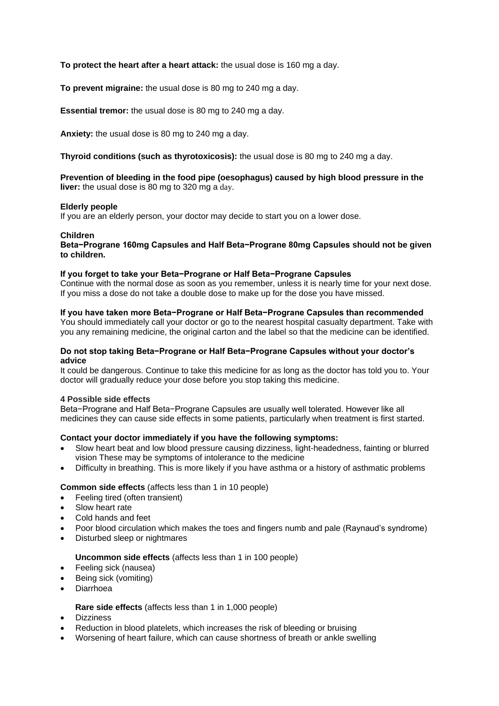## **To protect the heart after a heart attack:** the usual dose is 160 mg a day.

**To prevent migraine:** the usual dose is 80 mg to 240 mg a day.

**Essential tremor:** the usual dose is 80 mg to 240 mg a day.

**Anxiety:** the usual dose is 80 mg to 240 mg a day.

**Thyroid conditions (such as thyrotoxicosis):** the usual dose is 80 mg to 240 mg a day.

### **Prevention of bleeding in the food pipe (oesophagus) caused by high blood pressure in the liver:** the usual dose is 80 mg to 320 mg a day.

### **Elderly people**

If you are an elderly person, your doctor may decide to start you on a lower dose.

### **Children**

**Beta−Prograne 160mg Capsules and Half Beta−Prograne 80mg Capsules should not be given to children.**

### **If you forget to take your Beta−Prograne or Half Beta−Prograne Capsules**

Continue with the normal dose as soon as you remember, unless it is nearly time for your next dose. If you miss a dose do not take a double dose to make up for the dose you have missed.

### **If you have taken more Beta−Prograne or Half Beta−Prograne Capsules than recommended**

You should immediately call your doctor or go to the nearest hospital casualty department. Take with you any remaining medicine, the original carton and the label so that the medicine can be identified.

### **Do not stop taking Beta−Prograne or Half Beta−Prograne Capsules without your doctor's advice**

It could be dangerous. Continue to take this medicine for as long as the doctor has told you to. Your doctor will gradually reduce your dose before you stop taking this medicine.

### **4 Possible side effects**

Beta−Prograne and Half Beta−Prograne Capsules are usually well tolerated. However like all medicines they can cause side effects in some patients, particularly when treatment is first started.

### **Contact your doctor immediately if you have the following symptoms:**

- Slow heart beat and low blood pressure causing dizziness, light-headedness, fainting or blurred vision These may be symptoms of intolerance to the medicine
- Difficulty in breathing. This is more likely if you have asthma or a history of asthmatic problems

## **Common side effects** (affects less than 1 in 10 people)

- Feeling tired (often transient)
- Slow heart rate
- Cold hands and feet
- Poor blood circulation which makes the toes and fingers numb and pale (Raynaud's syndrome)
- Disturbed sleep or nightmares

## **Uncommon side effects** (affects less than 1 in 100 people)

- Feeling sick (nausea)
- Being sick (vomiting)
- Diarrhoea

## **Rare side effects** (affects less than 1 in 1,000 people)

- **•** Dizziness
- Reduction in blood platelets, which increases the risk of bleeding or bruising
- Worsening of heart failure, which can cause shortness of breath or ankle swelling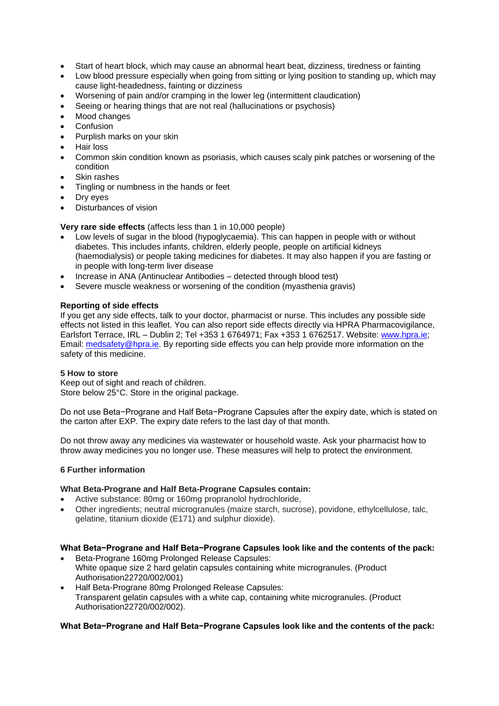- Start of heart block, which may cause an abnormal heart beat, dizziness, tiredness or fainting
- Low blood pressure especially when going from sitting or lying position to standing up, which may cause light-headedness, fainting or dizziness
- Worsening of pain and/or cramping in the lower leg (intermittent claudication)
- Seeing or hearing things that are not real (hallucinations or psychosis)
- Mood changes
- **Confusion**
- Purplish marks on your skin
- Hair loss
- Common skin condition known as psoriasis, which causes scaly pink patches or worsening of the condition
- Skin rashes
- Tingling or numbness in the hands or feet
- Dry eyes
- Disturbances of vision

# **Very rare side effects** (affects less than 1 in 10,000 people)

- Low levels of sugar in the blood (hypoglycaemia). This can happen in people with or without diabetes. This includes infants, children, elderly people, people on artificial kidneys (haemodialysis) or people taking medicines for diabetes. It may also happen if you are fasting or in people with long-term liver disease
- Increase in ANA (Antinuclear Antibodies detected through blood test)
- Severe muscle weakness or worsening of the condition (myasthenia gravis)

# **Reporting of side effects**

If you get any side effects, talk to your doctor, pharmacist or nurse. This includes any possible side effects not listed in this leaflet. You can also report side effects directly via HPRA Pharmacovigilance, Earlsfort Terrace, IRL – Dublin 2; Tel +353 1 6764971; Fax +353 1 6762517. Website: [www.hpra.ie;](http://www.hpra.ie/) Email: [medsafety@hpra.ie.](mailto:medsafety@hpra.ie) By reporting side effects you can help provide more information on the safety of this medicine.

## **5 How to store**

Keep out of sight and reach of children. Store below 25°C. Store in the original package.

Do not use Beta−Prograne and Half Beta−Prograne Capsules after the expiry date, which is stated on the carton after EXP. The expiry date refers to the last day of that month.

Do not throw away any medicines via wastewater or household waste. Ask your pharmacist how to throw away medicines you no longer use. These measures will help to protect the environment.

## **6 Further information**

## **What Beta-Prograne and Half Beta-Prograne Capsules contain:**

- Active substance: 80mg or 160mg propranolol hydrochloride,
- Other ingredients; neutral microgranules (maize starch, sucrose), povidone, ethylcellulose, talc, gelatine, titanium dioxide (E171) and sulphur dioxide).

## **What Beta−Prograne and Half Beta−Prograne Capsules look like and the contents of the pack:**

- Beta-Prograne 160mg Prolonged Release Capsules: White opaque size 2 hard gelatin capsules containing white microgranules. (Product Authorisation22720/002/001)
- Half Beta-Prograne 80mg Prolonged Release Capsules: Transparent gelatin capsules with a white cap, containing white microgranules. (Product Authorisation22720/002/002).

## **What Beta−Prograne and Half Beta−Prograne Capsules look like and the contents of the pack:**